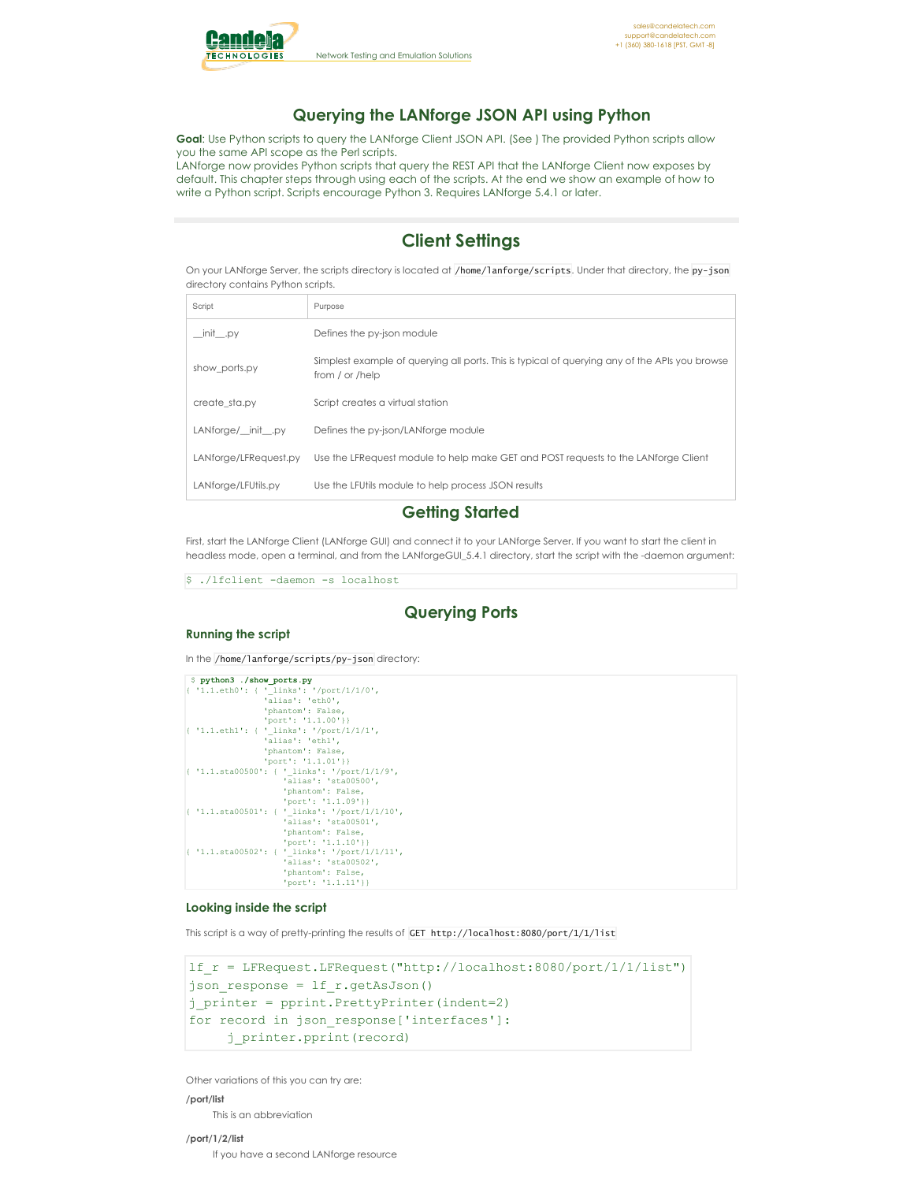

# **Querying the LANforge JSON API using Python**

**Goal**: Use Python scripts to query the LANforge Client JSON API. (See ) The provided Python scripts allow you the same API scope as the Perl scripts.

LANforge now provides Python scripts that query the REST API that the LANforge Client now exposes by default. This chapter steps through using each of the scripts. At the end we show an example of how to write a Python script. Scripts encourage Python 3. Requires LANforge 5.4.1 or later.

# **Client Settings**

On your LANforge Server, the scripts directory is located at /home/lanforge/scripts. Under that directory, the py-json directory contains Python scripts.

| Script                | Purpose                                                                                                           |
|-----------------------|-------------------------------------------------------------------------------------------------------------------|
| init__.py             | Defines the py-json module                                                                                        |
| show ports.py         | Simplest example of querying all ports. This is typical of querying any of the APIs you browse<br>from / or /help |
| create sta.py         | Script creates a virtual station                                                                                  |
| LANforge/ init .py    | Defines the py-json/LANforge module                                                                               |
| LANforge/LFRequest.py | Use the LFRequest module to help make GET and POST requests to the LANforge Client                                |
| LANforge/LFUtils.py   | Use the LFUtils module to help process JSON results                                                               |

# **Getting Started**

First, start the LANforge Client (LANforge GUI) and connect it to your LANforge Server. If you want to start the client in headless mode, open a terminal, and from the LANforgeGUI\_5.4.1 directory, start the script with the -daemon argument:

\$ ./lfclient -daemon -s localhost

# **Querying Ports**

## **Running the script**

In the /home/lanforge/scripts/py-json directory:

| \$ python3 ./show ports.py                    |  |
|-----------------------------------------------|--|
| { '1.1.eth0': { ' links': '/port/1/1/0',      |  |
| 'alias': 'eth0',                              |  |
| 'phantom': False,                             |  |
| 'port': '1.1.00']                             |  |
| { '1.1.eth1': { ' links': '/port/1/1/1',      |  |
| 'alias': 'ethl',                              |  |
| 'phantom': False,                             |  |
| $'port': '1.1.01'$ }}                         |  |
| { '1.1.sta00500': { ' links': '/port/1/1/9',  |  |
| 'alias': 'sta00500',                          |  |
| 'phantom': False,                             |  |
| 'port': '1.1.09']                             |  |
| { '1.1.sta00501': { ' links': '/port/1/1/10', |  |
| 'alias': 'sta00501',                          |  |
| 'phantom': False,                             |  |
| 'port': '1.1.10']                             |  |
| { '1.1.sta00502': { ' links': '/port/1/1/11', |  |
| 'alias': 'sta00502',                          |  |
| 'phantom': False,                             |  |
| 'port': '1.1.11']                             |  |

## **Looking inside the script**

This script is a way of pretty-printing the results of GET http://localhost:8080/port/1/1/list

```
lf_r = LFRequest.LFRequest("http://localhost:8080/port/1/1/list")
json_response = lf_r.getAsJson()
j_printer = pprint.PrettyPrinter(indent=2)
for record in json response['interfaces']:
     j_printer.pprint(record)
```
Other variations of this you can try are:

### **/port/list**

This is an abbreviation

## **/port/1/2/list**

If you have a second LANforge resource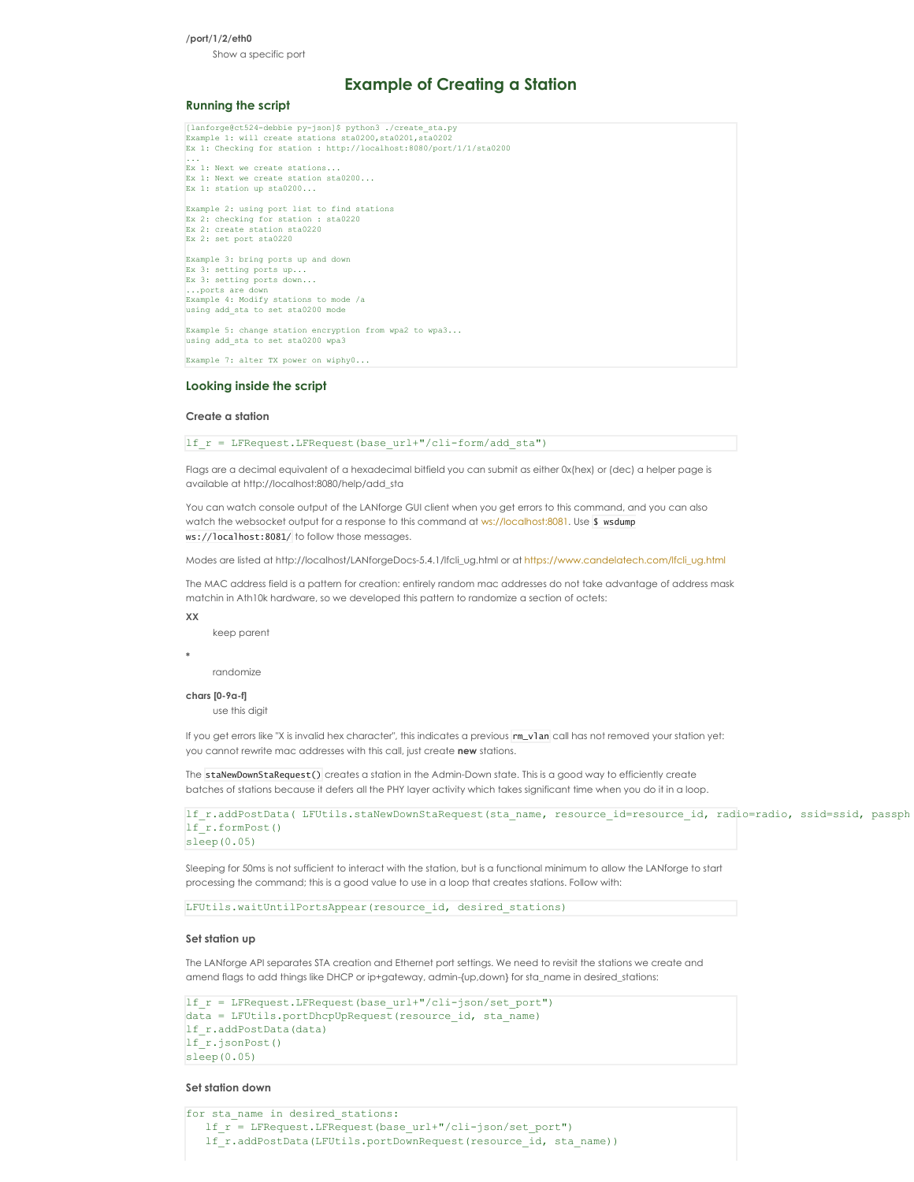# **/port/1/2/eth0**

Show a specific port

# **Example of Creating a Station**

## **Running the script**

| [lanforge@ct524-debbie py-json]\$ python3 ./create sta.py           |
|---------------------------------------------------------------------|
| Example 1: will create stations sta0200, sta0201, sta0202           |
| Ex 1: Checking for station : http://localhost:8080/port/1/1/sta0200 |
| $\cdots$                                                            |
| Ex 1: Next we create stations                                       |
| Ex 1: Next we create station sta0200                                |
| Ex 1: station up sta0200                                            |
| Example 2: using port list to find stations                         |
| Ex 2: checking for station : sta0220                                |
| Ex 2: create station sta0220                                        |
| Ex 2: set port sta0220                                              |
| Example 3: bring ports up and down                                  |
| Ex $3:$ setting ports up                                            |
| Ex 3: setting ports down                                            |
| ports are down                                                      |
| Example 4: Modify stations to mode /a                               |
| using add sta to set sta0200 mode                                   |
| Example 5: change station encryption from wpa2 to wpa3              |
| using add sta to set sta0200 wpa3                                   |
| Example 7: alter TX power on wiphy0                                 |
|                                                                     |

### **Looking inside the script**

### **Create a station**

lf\_r = LFRequest.LFRequest(base\_url+"/cli-form/add\_sta")

Flags are a decimal equivalent of a hexadecimal bitfield you can submit as either 0x(hex) or (dec) a helper page is available at http://localhost:8080/help/add\_sta

You can watch console output of the LANforge GUI client when you get errors to this command, and you can also watch the websocket output for a response to this command at <ws://localhost:8081>. Use \$ wsdump ws://localhost:8081/ to follow those messages.

Modes are listed at http://localhost/LANforgeDocs-5.4.1/lfcli\_ug.html or at [https://www.candelatech.com/lfcli\\_ug.html](https://www.candelatech.com/lfcli_ug.html)

The MAC address field is a pattern for creation: entirely random mac addresses do not take advantage of address mask matchin in Ath10k hardware, so we developed this pattern to randomize a section of octets:

**XX**

keep parent

**\***

randomize

### **chars [0-9a-f]**

use this diait

If you get errors like "X is invalid hex character", this indicates a previous rm\_vlan call has not removed your station yet: you cannot rewrite mac addresses with this call, just create **new** stations.

The staNewDownStaRequest() creates a station in the Admin-Down state. This is a good way to efficiently create batches of stations because it defers all the PHY layer activity which takes significant time when you do it in a loop.

lf\_r.addPostData( LFUtils.staNewDownStaRequest(sta\_name, resource\_id=resource\_id, radio=radio, ssid=ssid, passphrase=passphrase)) lf\_r.formPost() sleep(0.05)

Sleeping for 50ms is not sufficient to interact with the station, but is a functional minimum to allow the LANforge to start processing the command; this is a good value to use in a loop that creates stations. Follow with:

LFUtils.waitUntilPortsAppear(resource\_id, desired\_stations)

### **Set station up**

The LANforge API separates STA creation and Ethernet port settings. We need to revisit the stations we create and amend flags to add things like DHCP or ip+gateway, admin-{up,down} for sta\_name in desired\_stations:

```
lf_r = LFRequest.LFRequest(base_url+"/cli-json/set_port")
data = LFUtils.portDhcpUpRequest(resource_id, sta_name)
lf_r.addPostData(data)
lf_r.jsonPost()
sleep(0.05)
```
## **Set station down**

for sta name in desired stations: lf  $r = LFR$ equest.LFRequest(base url+"/cli-json/set port") lf\_r.addPostData(LFUtils.portDownRequest(resource\_id, sta\_name))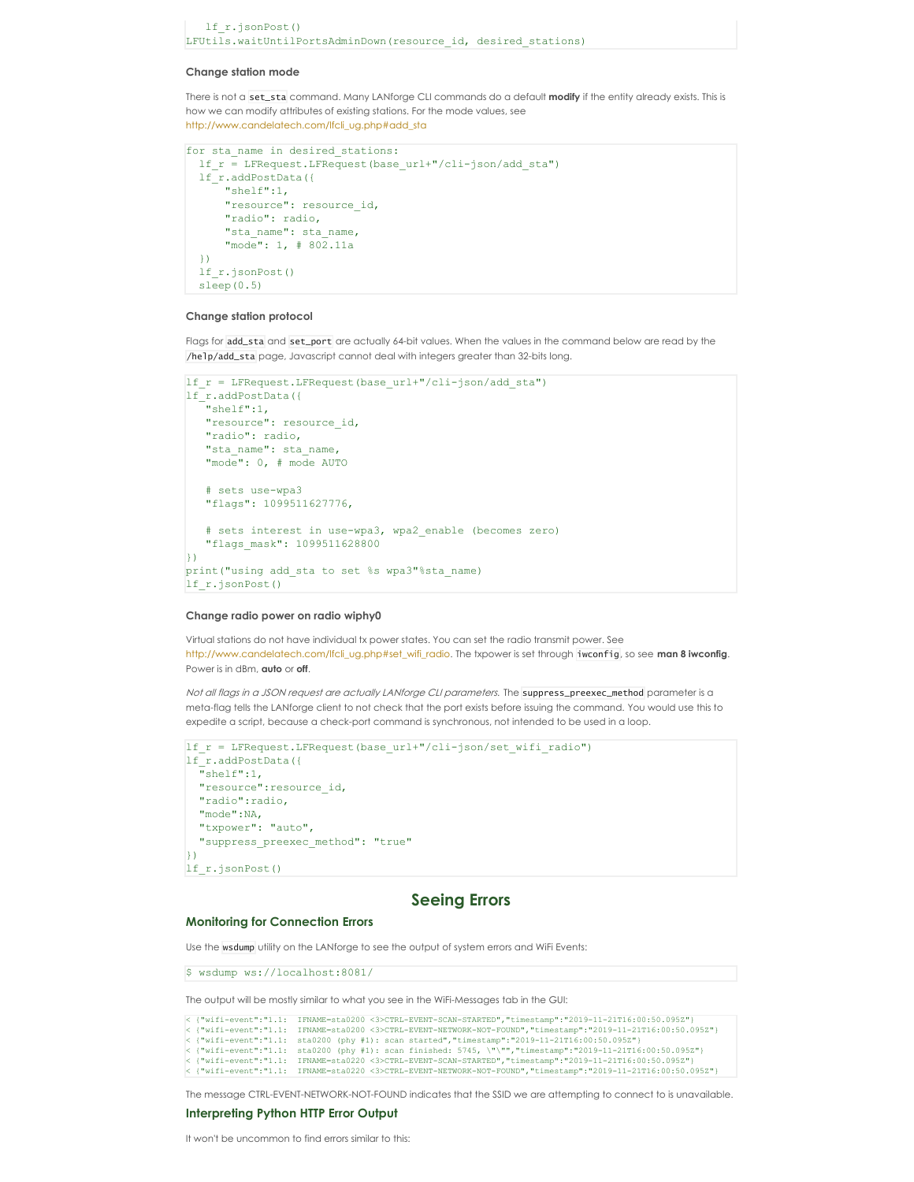```
lf_r.jsonPost()
LFUtils.waitUntilPortsAdminDown(resource id, desired stations)
```
## **Change station mode**

There is not a set\_sta command. Many LANforge CLI commands do a default **modify** if the entity already exists. This is how we can modify attributes of existing stations. For the mode values, see [http://www.candelatech.com/lfcli\\_ug.php#add\\_sta](http://www.candelatech.com/lfcli_ug.php#add_sta)

```
for sta_name in desired_stations:
 lf_r = LFRequest.LFRequest(base_url+"/cli-json/add_sta")
 lf_r.addPostData({
      "shelf":1,
     "resource": resource id,
      "radio": radio,
     "sta_name": sta_name,
      "mode": 1, # 802.11a
  })
 lf_r.jsonPost()
 sleep(0.5)
```
### **Change station protocol**

Flags for add\_sta and set\_port are actually 64-bit values. When the values in the command below are read by the /help/add\_sta page, Javascript cannot deal with integers greater than 32-bits long.

```
lf r = LFRequest.LFRequest(base url+"/cli-json/add sta")
lf_r.addPostData({
   "shelf":1,
   "resource": resource_id,
   "radio": radio,
   "sta_name": sta_name,
   "mode": 0, # mode AUTO
   # sets use-wpa3
   "flags": 1099511627776,
   # sets interest in use-wpa3, wpa2_enable (becomes zero)
   "flags_mask": 1099511628800
\overline{\mathcal{Y}}print("using add sta to set %s wpa3"%sta name)
lf_r.jsonPost()
```
### **Change radio power on radio wiphy0**

Virtual stations do not have individual tx power states. You can set the radio transmit power. See [http://www.candelatech.com/lfcli\\_ug.php#set\\_wifi\\_radio.](http://www.candelatech.com/lfcli_ug.php#set_wifi_radio) The txpower is set through iwconfig, so see **man 8 iwconfig**. Power is in dBm, **auto** or **off**.

Not all flags in a JSON request are actually LANforge CLI parameters. The suppress\_preexec\_method parameter is a meta-flag tells the LANforge client to not check that the port exists before issuing the command. You would use this to expedite a script, because a check-port command is synchronous, not intended to be used in a loop.

```
lf_r = LFRequest.LFRequest(base_url+"/cli-json/set_wifi_radio")
lf_r.addPostData({
  \bar{}}shelf":1,
  "resource":resource_id,
  "radio":radio,
 "mode":NA,
  "txpower": "auto",
  "suppress_preexec_method": "true"
})
lf_r.jsonPost()
```
# **Seeing Errors**

### **Monitoring for Connection Errors**

Use the wsdump utility on the LANforge to see the output of system errors and WiFi Events:

\$ wsdump ws://localhost:8081/

The output will be mostly similar to what you see in the WiFi-Messages tab in the GUI:

|  | < {"wifi-event":"1.1: IFNAME=sta0200 <3>CTRL-EVENT-SCAN-STARTED","timestamp":"2019-11-21T16:00:50.095Z"}      |
|--|---------------------------------------------------------------------------------------------------------------|
|  | < {"wifi-event":"1.1: IFNAME=sta0200 <3>CTRL-EVENT-NETWORK-NOT-FOUND","timestamp":"2019-11-21T16:00:50.095Z"} |
|  | < {"wifi-event":"1.1: sta0200 (phy #1): scan started","timestamp":"2019-11-21T16:00:50.095Z"}                 |
|  | < {"wifi-event":"1.1: sta0200 (phy #1): scan finished: 5745, \"\"","timestamp":"2019-11-21T16:00:50.095Z"}    |
|  | < {"wifi-event":"1.1: IFNAME=sta0220 <3>CTRL-EVENT-SCAN-STARTED","timestamp":"2019-11-21T16:00:50.095Z"}      |
|  | < {"wifi-event":"1.1: IFNAME=sta0220 <3>CTRL-EVENT-NETWORK-NOT-FOUND","timestamp":"2019-11-21T16:00:50.095Z"} |

The message CTRL-EVENT-NETWORK-NOT-FOUND indicates that the SSID we are attempting to connect to is unavailable.

### **Interpreting Python HTTP Error Output**

It won't be uncommon to find errors similar to this: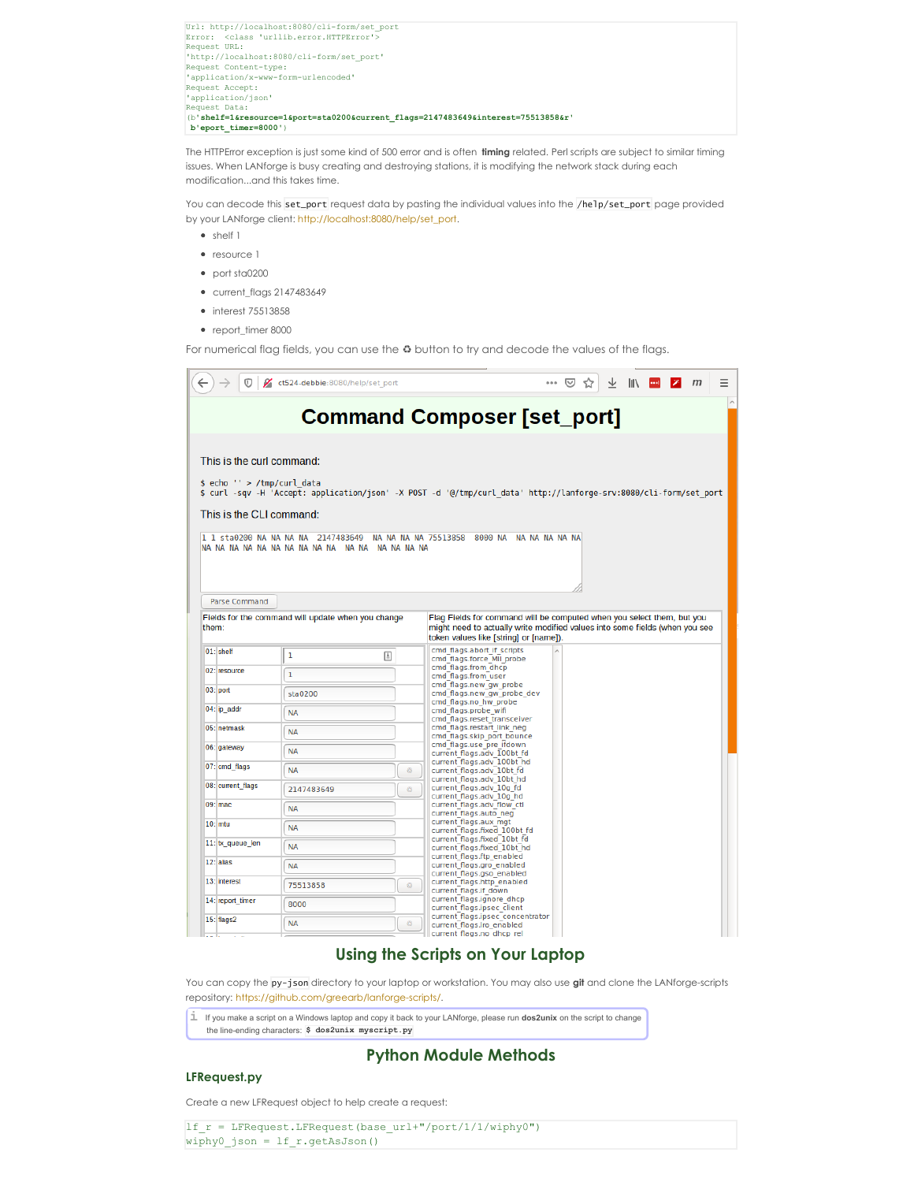| Url: http://localhost:8080/cli-form/set port                                     |
|----------------------------------------------------------------------------------|
| Error: <class 'urllib.error.httperror'=""></class>                               |
| Request URL:                                                                     |
| 'http://localhost:8080/cli-form/set port'                                        |
| Request Content-type:                                                            |
| 'application/x-www-form-urlencoded'                                              |
| Request Accept:                                                                  |
| 'application/json'                                                               |
| Request Data:                                                                    |
| (b'shelf=1&resource=1&port=sta0200&current flags=2147483649&interest=75513858&r' |
| b'eport timer=8000')                                                             |
|                                                                                  |

The HTTPError exception is just some kind of 500 error and is often **timing** related. Perl scripts are subject to similar timing issues. When LANforge is busy creating and destroying stations, it is modifying the network stack during each modification...and this takes time.

You can decode this set\_port request data by pasting the individual values into the /help/set\_port page provided by your LANforge client: [http://localhost:8080/help/set\\_port](http://localhost:8080/help/set_port).

- shelf 1
- resource 1
- port sta0200
- current\_flags 2147483649
- interest 75513858
- report\_timer 8000

For numerical flag fields, you can use the **♻** button to try and decode the values of the flags.

|       | 0                           | ct524-debbie:8080/help/set port |    |                                                                                                                                                                                  | ☆ | $\mathbb{I}$ | z | $m$ | Ξ |
|-------|-----------------------------|---------------------------------|----|----------------------------------------------------------------------------------------------------------------------------------------------------------------------------------|---|--------------|---|-----|---|
|       |                             |                                 |    |                                                                                                                                                                                  |   |              |   |     |   |
|       |                             |                                 |    | <b>Command Composer [set_port]</b>                                                                                                                                               |   |              |   |     |   |
|       |                             |                                 |    |                                                                                                                                                                                  |   |              |   |     |   |
|       | This is the curl command:   |                                 |    |                                                                                                                                                                                  |   |              |   |     |   |
|       | \$ echo '' > /tmp/curl data |                                 |    | \$ curl -sqv -H 'Accept: application/json' -X POST -d '@/tmp/curl data' http://lanforge-srv:8080/cli-form/set port                                                               |   |              |   |     |   |
|       | This is the CLI command:    |                                 |    |                                                                                                                                                                                  |   |              |   |     |   |
|       |                             |                                 |    | 1 1 sta0200 NA NA NA NA 2147483649  NA NA NA NA 75513858  8000 NA  NA NA NA NA NA                                                                                                |   |              |   |     |   |
|       | <b>Parse Command</b>        |                                 |    |                                                                                                                                                                                  |   |              |   |     |   |
| them: | $01$ : shelf                | 1<br>固                          |    | might need to actually write modified values into some fields (when you see<br>token values like [string] or [name]).<br>cmd flags.abort if scripts<br>cmd flags.force MII probe |   |              |   |     |   |
|       | 02: resource                | 1                               |    | cmd flags.from dhcp<br>cmd flags.from user                                                                                                                                       |   |              |   |     |   |
|       | $03$ : port                 | sta0200                         |    | cmd_flags.new_gw_probe<br>cmd flags.new gw probe dev                                                                                                                             |   |              |   |     |   |
|       | 04: ip addr                 | <b>NA</b>                       |    | cmd flags.no hw probe<br>cmd flags.probe wifi<br>cmd flags.reset transceiver                                                                                                     |   |              |   |     |   |
|       | 05: netmask                 | <b>NA</b>                       |    | cmd flags.restart link neg<br>cmd flags.skip port bounce                                                                                                                         |   |              |   |     |   |
|       | 06: gateway                 | <b>NA</b>                       |    | cmd flags.use pre ifdown<br>current flags.adv 100bt fd                                                                                                                           |   |              |   |     |   |
|       | 07: cmd_flags               | <b>NA</b>                       | Ø. | current flags.adv 100bt hd<br>current flags.adv 10bt fd<br>current flags.adv 10bt hd                                                                                             |   |              |   |     |   |
|       | 08: current_flags           | 2147483649                      | ŵ  | current flags.adv 10g fd<br>current flags.adv 10g hd                                                                                                                             |   |              |   |     |   |
|       | $09:$ mac                   | <b>NA</b>                       |    | current flags.adv flow ctl<br>current flags.auto neg                                                                                                                             |   |              |   |     |   |
|       | $10$ : $mtu$                | <b>NA</b>                       |    | current flags.aux mgt<br>current flags.fixed 100bt fd                                                                                                                            |   |              |   |     |   |
|       | 11: tx_queue_len            | <b>NA</b>                       |    | current flags.fixed 10bt fd<br>current flags.fixed 10bt hd<br>current flags.ftp enabled                                                                                          |   |              |   |     |   |
|       | 12: alias                   | <b>NA</b>                       |    | current flags.gro enabled<br>current flags.gso enabled                                                                                                                           |   |              |   |     |   |
|       | 13: interest                | 75513858                        | ⊕  | current flags.http enabled<br>current flags.if down                                                                                                                              |   |              |   |     |   |
|       | 14: report timer            | 8000                            |    | current flags.ignore dhcp<br>current flags.ipsec client                                                                                                                          |   |              |   |     |   |
|       | 15: flags2                  | <b>NA</b>                       | Ô. | current flags.ipsec concentrator<br>current flags.iro enabled<br>current flags.no dhcp rel                                                                                       |   |              |   |     |   |
|       |                             |                                 |    |                                                                                                                                                                                  |   |              |   |     |   |

# **Using the Scripts on Your Laptop**

You can copy the py-json directory to your laptop or workstation. You may also use **git** and clone the LANforge-scripts repository: <https://github.com/greearb/lanforge-scripts/>.

**i** If you make <sup>a</sup> script on <sup>a</sup> Windows laptop and copy it back to your LANforge, please run **dos2unix** on the script to change

# the line-ending characters: **\$ dos2unix myscript.py**

# **Python Module Methods**

# **LFRequest.py**

Create a new LFRequest object to help create a request:

lf\_r = LFRequest.LFRequest(base\_url+"/port/1/1/wiphy0")  $\n wiphy0_json = l.f_r.getAsJson()$